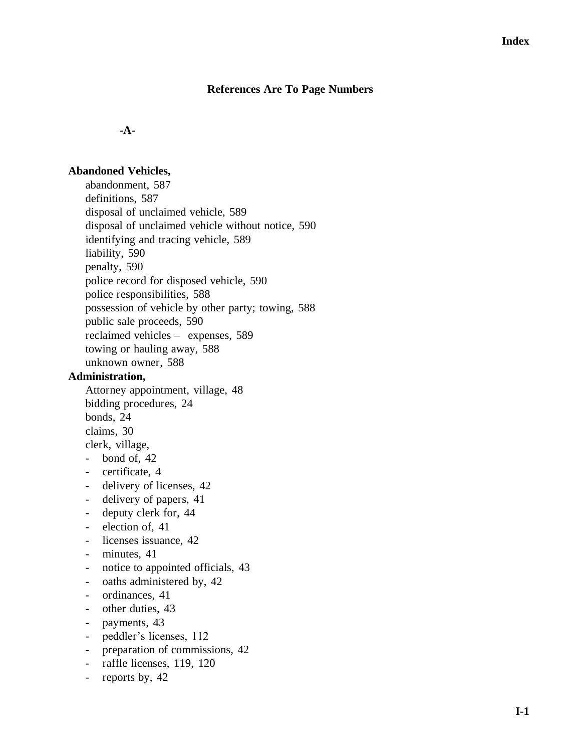## **References Are To Page Numbers**

**-A-**

#### **Abandoned Vehicles,**

abandonment, 587 definitions, 587 disposal of unclaimed vehicle, 589 disposal of unclaimed vehicle without notice, 590 identifying and tracing vehicle, 589 liability, 590 penalty, 590 police record for disposed vehicle, 590 police responsibilities, 588 possession of vehicle by other party; towing, 588 public sale proceeds, 590 reclaimed vehicles – expenses, 589 towing or hauling away, 588 unknown owner, 588

#### **Administration,**

Attorney appointment, village, 48 bidding procedures, 24 bonds, 24 claims, 30 clerk, village,

- bond of, 42
- certificate, 4
- delivery of licenses, 42
- delivery of papers, 41
- deputy clerk for, 44
- election of, 41
- licenses issuance, 42
- minutes, 41
- notice to appointed officials, 43
- oaths administered by, 42
- ordinances, 41
- other duties, 43
- payments, 43
- peddler's licenses, 112
- preparation of commissions, 42
- raffle licenses, 119, 120
- reports by, 42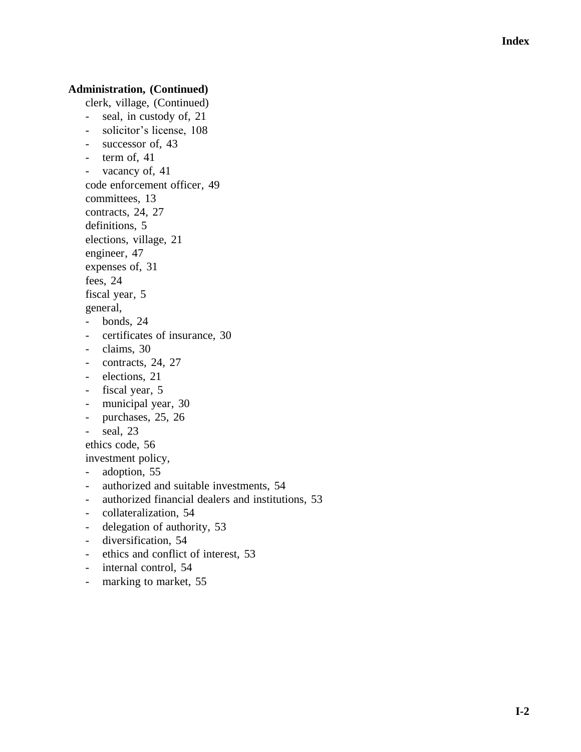## **Administration, (Continued)**

clerk, village, (Continued)

- seal, in custody of, 21
- solicitor's license, 108
- successor of, 43
- term of, 41
- vacancy of, 41
- code enforcement officer, 49
- committees, 13
- contracts, 24, 27
- definitions, 5
- elections, village, 21
- engineer, 47
- expenses of, 31

fees, 24

fiscal year, 5

general,

- bonds, 24
- certificates of insurance, 30
- claims, 30
- contracts, 24, 27
- elections, 21
- fiscal year, 5
- municipal year, 30
- purchases, 25, 26
- seal, 23

ethics code, 56

investment policy,

- adoption, 55
- authorized and suitable investments, 54
- authorized financial dealers and institutions, 53
- collateralization, 54
- delegation of authority, 53
- diversification, 54
- ethics and conflict of interest, 53
- internal control, 54
- marking to market, 55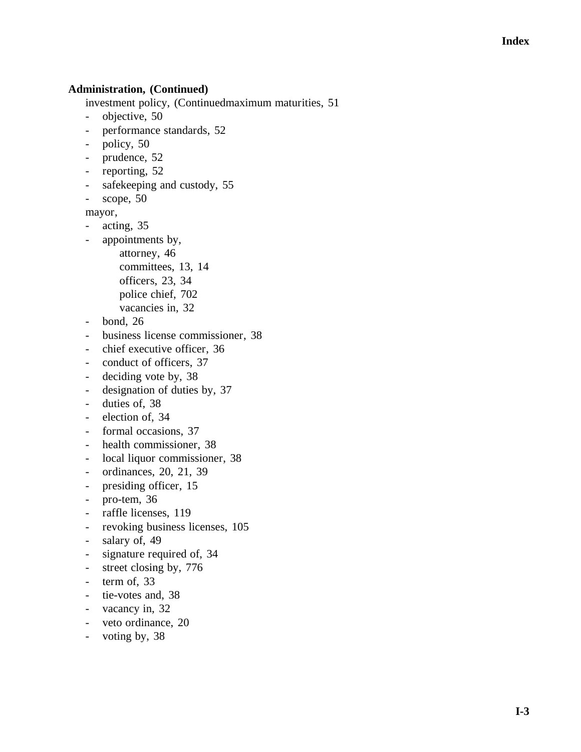## **Administration, (Continued)**

investment policy, (Continuedmaximum maturities, 51

- objective, 50
- performance standards, 52
- policy, 50
- prudence, 52
- reporting, 52
- safekeeping and custody, 55

- scope, 50

mayor,

- acting, 35
- appointments by,
	- attorney, 46 committees, 13, 14
	- officers, 23, 34
	- police chief, 702
	- vacancies in, 32
	-
- bond, 26
- business license commissioner, 38
- chief executive officer, 36
- conduct of officers, 37
- deciding vote by, 38
- designation of duties by, 37
- duties of, 38
- election of, 34
- formal occasions, 37
- health commissioner, 38
- local liquor commissioner, 38
- ordinances, 20, 21, 39
- presiding officer, 15
- pro-tem, 36
- raffle licenses, 119
- revoking business licenses, 105
- salary of, 49
- signature required of, 34
- street closing by, 776
- term of, 33
- tie-votes and, 38
- vacancy in, 32
- veto ordinance, 20
- voting by, 38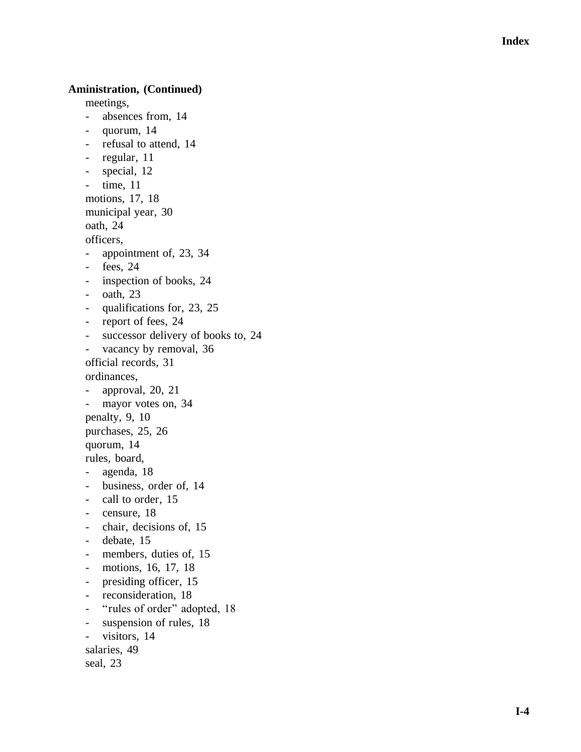## **Aministration, (Continued)**

meetings,

- absences from, 14
- quorum, 14
- refusal to attend, 14
- regular, 11
- special, 12
- time, 11
- motions, 17, 18
- municipal year, 30
- oath, 24

officers,

- appointment of, 23, 34
- fees, 24
- inspection of books, 24
- oath, 23
- qualifications for, 23, 25
- report of fees, 24
- successor delivery of books to, 24
- vacancy by removal, 36
- official records, 31
- ordinances,
- approval, 20, 21
- mayor votes on, 34
- penalty, 9, 10
- purchases, 25, 26
- quorum, 14
- rules, board,
- agenda, 18
- business, order of, 14
- call to order, 15
- censure, 18
- chair, decisions of, 15
- debate, 15
- members, duties of, 15
- motions, 16, 17, 18
- presiding officer, 15
- reconsideration, 18
- "rules of order" adopted, 18
- suspension of rules, 18
- visitors, 14
- salaries, 49

```
seal, 23
```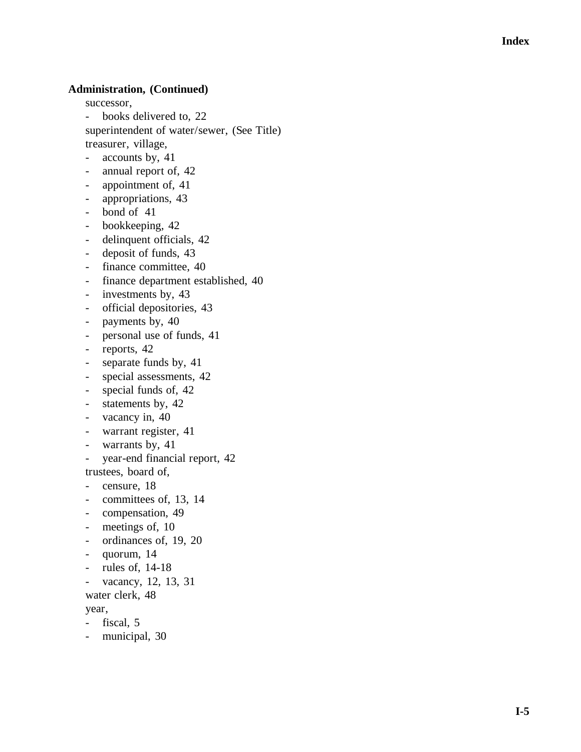## **Administration, (Continued)**

successor,

- books delivered to, 22 superintendent of water/sewer, (See Title) treasurer, village,
- accounts by, 41
- annual report of, 42
- appointment of, 41
- appropriations, 43
- bond of 41
- bookkeeping, 42
- delinquent officials, 42
- deposit of funds, 43
- finance committee, 40
- finance department established, 40
- investments by, 43
- official depositories, 43
- payments by, 40
- personal use of funds, 41
- reports, 42
- separate funds by, 41
- special assessments, 42
- special funds of, 42
- statements by, 42
- vacancy in, 40
- warrant register, 41
- warrants by, 41
- year-end financial report, 42
- trustees, board of,
- censure, 18
- committees of, 13, 14
- compensation, 49
- meetings of, 10
- ordinances of, 19, 20
- quorum, 14
- rules of, 14-18
- vacancy, 12, 13, 31
- water clerk, 48

#### year,

- fiscal, 5
- municipal, 30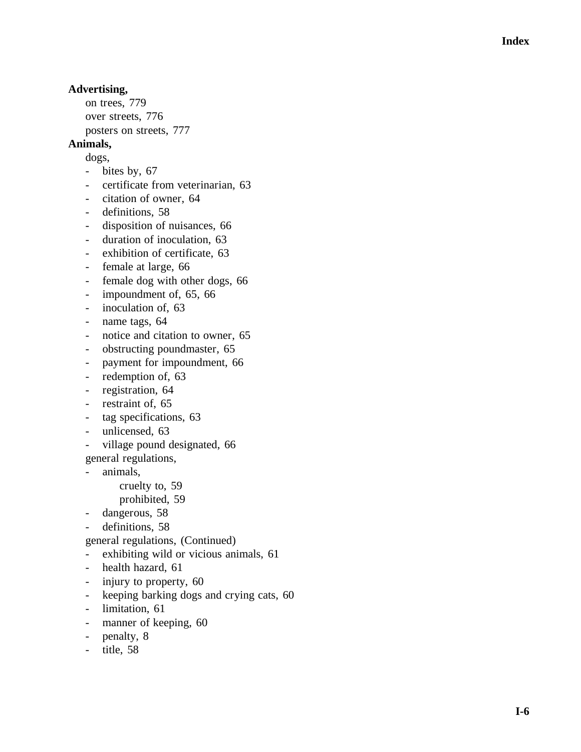# **Advertising,**

on trees, 779 over streets, 776 posters on streets, 777

# **Animals,**

dogs,

- bites by, 67
- certificate from veterinarian, 63
- citation of owner, 64
- definitions, 58
- disposition of nuisances, 66
- duration of inoculation, 63
- exhibition of certificate, 63
- female at large, 66
- female dog with other dogs, 66
- impoundment of, 65, 66
- inoculation of, 63
- name tags, 64
- notice and citation to owner, 65
- obstructing poundmaster, 65
- payment for impoundment, 66
- redemption of, 63
- registration, 64
- restraint of, 65
- tag specifications, 63
- unlicensed, 63
- village pound designated, 66

general regulations,

- animals,

cruelty to, 59 prohibited, 59

- dangerous, 58
- 
- definitions, 58
- general regulations, (Continued)
- exhibiting wild or vicious animals, 61
- health hazard, 61
- injury to property, 60
- keeping barking dogs and crying cats, 60
- limitation, 61
- manner of keeping, 60
- penalty, 8
- title, 58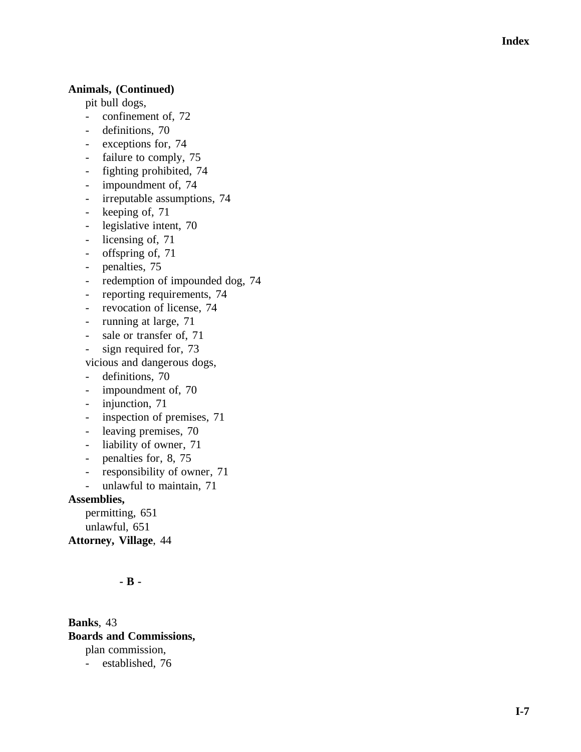## **Animals, (Continued)**

pit bull dogs,

- confinement of, 72
- definitions, 70
- exceptions for, 74
- failure to comply, 75
- fighting prohibited, 74
- impoundment of, 74
- irreputable assumptions, 74
- keeping of, 71
- legislative intent, 70
- licensing of, 71
- offspring of, 71
- penalties, 75
- redemption of impounded dog, 74
- reporting requirements, 74
- revocation of license, 74
- running at large, 71
- sale or transfer of, 71
- sign required for, 73

vicious and dangerous dogs,

- definitions, 70
- impoundment of, 70
- injunction, 71
- inspection of premises, 71
- leaving premises, 70
- liability of owner, 71
- penalties for, 8, 75
- responsibility of owner, 71
- unlawful to maintain, 71

#### **Assemblies,**

permitting, 651 unlawful, 651 **Attorney, Village**, 44

# **- B -**

**Banks**, 43 **Boards and Commissions,** plan commission, - established, 76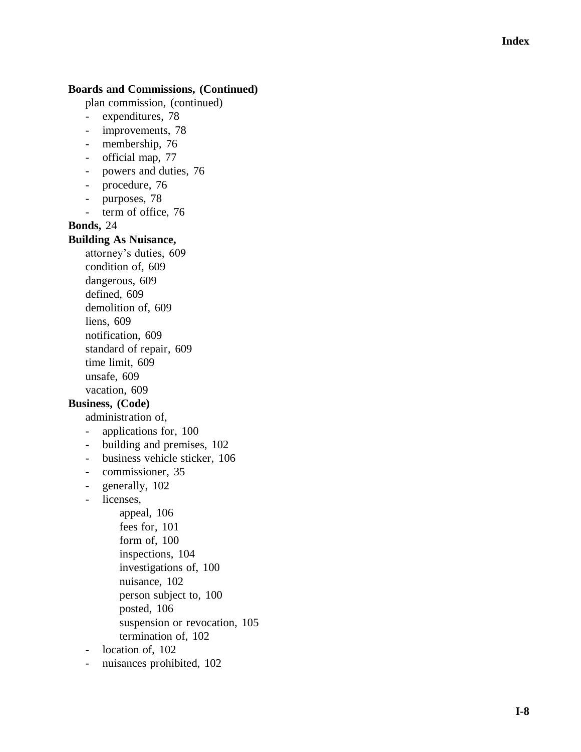# **Boards and Commissions, (Continued)**

plan commission, (continued)

- expenditures, 78
- improvements, 78
- membership, 76
- official map, 77
- powers and duties, 76
- procedure, 76
- purposes, 78
- term of office, 76

**Bonds,** 24

#### **Building As Nuisance,**

attorney's duties, 609 condition of, 609 dangerous, 609 defined, 609 demolition of, 609 liens, 609 notification, 609 standard of repair, 609 time limit, 609 unsafe, 609 vacation, 609

# **Business, (Code)**

administration of,

- applications for, 100
- building and premises, 102
- business vehicle sticker, 106
- commissioner, 35
- generally, 102
- licenses,

appeal, 106 fees for, 101 form of, 100 inspections, 104 investigations of, 100 nuisance, 102 person subject to, 100 posted, 106 suspension or revocation, 105 termination of, 102

- location of, 102
- nuisances prohibited, 102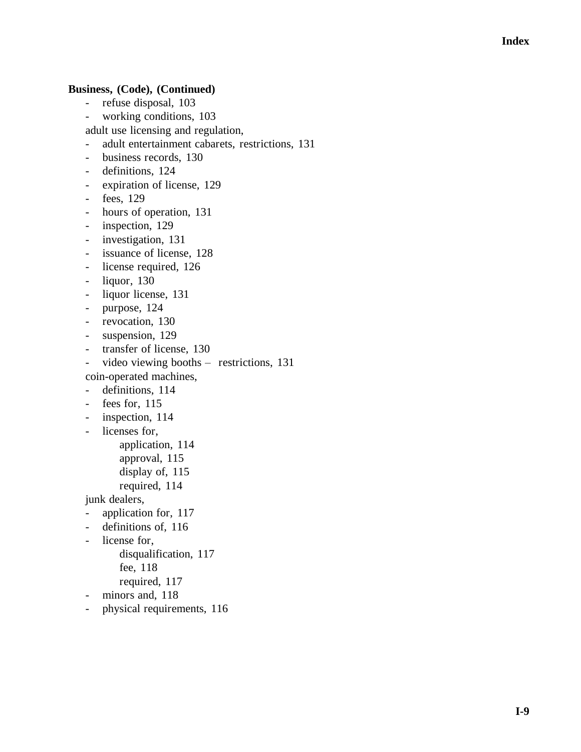## **Business, (Code), (Continued)**

- refuse disposal, 103
- working conditions, 103

adult use licensing and regulation,

- adult entertainment cabarets, restrictions, 131
- business records, 130
- definitions, 124
- expiration of license, 129
- fees, 129
- hours of operation, 131
- inspection, 129
- investigation, 131
- issuance of license, 128
- license required, 126
- liquor, 130
- liquor license, 131
- purpose, 124
- revocation, 130
- suspension, 129
- transfer of license, 130
- video viewing booths restrictions, 131

coin -operated machines,

- definitions, 114
- fees for, 115
- inspection, 114
- licenses for,

application, 114

- approval, 115
- display of, 115
- required, 114

junk dealers,

- application for, 117
- definitions of, 116
- license for,

disqualification, 117

fee, 118

- required, 117
- minors and, 118
- physical requirements, 116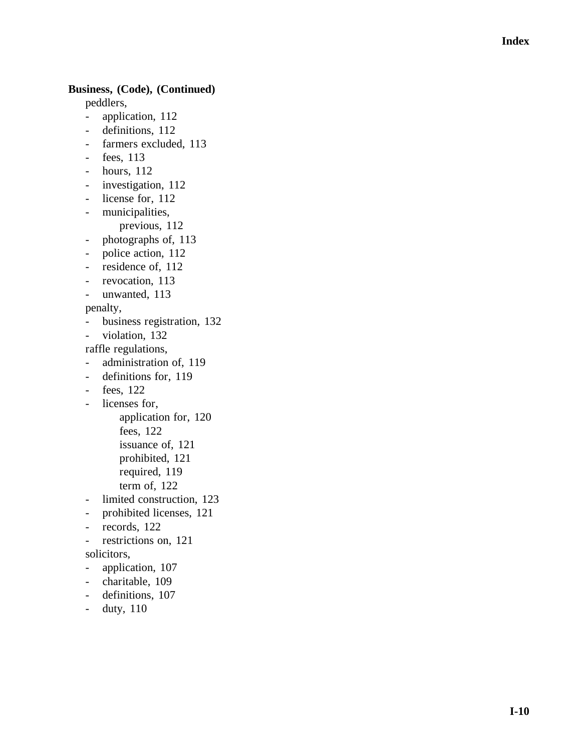## **Business, (Code), (Continued)**

peddlers,

- application, 112
- definitions, 112
- farmers excluded, 113
- fees, 113
- hours, 112
- investigation, 112
- license for, 112
- municipalities,
	- previous, 112
- photographs of, 113
- police action, 112
- residence of, 112
- revocation, 113
- unwanted, 113

penalty ,

- business registration, 132
- violation, 132

raffle regulations,

- administration of, 119
- definitions for, 119
- fees, 122
- licenses for,

application for, 120

fees, 122

issuance of, 121

prohibited, 121

- required, 119
- term of, 122
- limited construction, 123
- prohibited licenses, 121
- records, 122
- restrictions on, 121

solicitors,

- application, 107
- charitable, 109
- definitions, 107
- duty, 110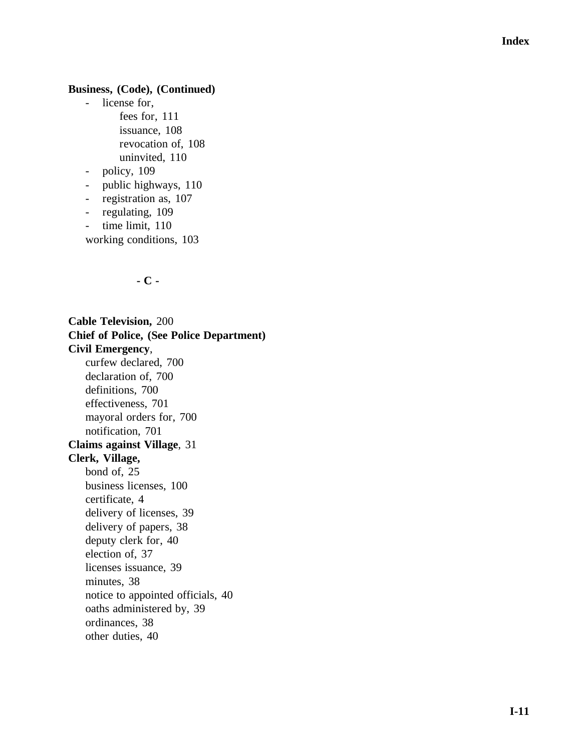#### **Business, (Code), (Continued)**

- license for,
	- fees for, 111 issuance, 108 revocation of, 108 uninvited, 11 0
- policy, 109
- public highways, 110
- registration as, 107
- regulating, 109
- time limit, 110

working conditions, 103

#### **- C -**

**Cable Television,** 200 **Chief of Police, (See Police Department) Civil Emergency** , curfew declared, 700 declaration of, 700 definitions, 700 effectiveness, 701 mayoral orders for, 700 notification, 701 **Claims against Village**, 31 **Clerk, Village,** bond of, 25 business licenses, 100 certificate, 4 delivery of licenses, 3 9 delivery of papers, 38 deputy clerk for, 40 election of, 37 licenses issuance, 39 minutes, 38 notice to appointed officials, 40 oaths administered by, 39 ordinances, 38 other duties, 40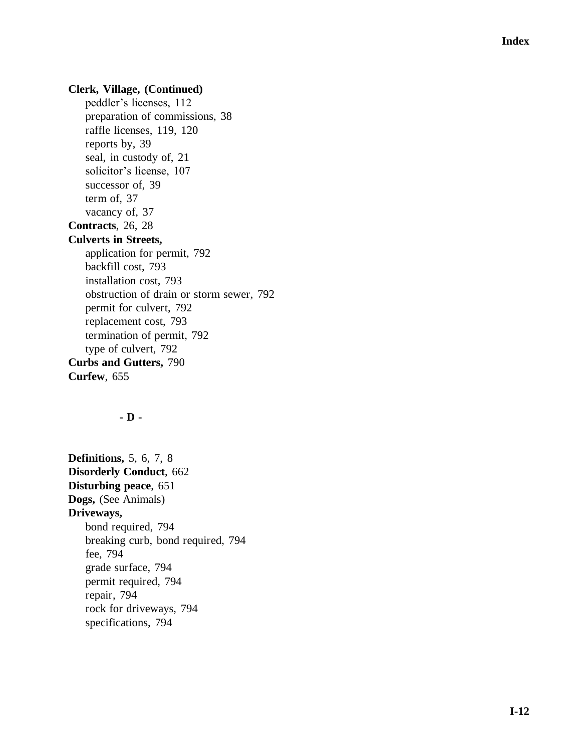#### **Clerk, Village, (Continued)**

peddler's licenses, 112 preparation of commissions, 38 raffle licenses, 119, 120 reports by, 39 seal, in custody of, 21 solicitor's license, 107 successor of, 39 term of, 37 vacancy of, 37 **Contracts**, 26, 28 **Culverts in Streets,** application for permit, 792 backfill cost, 793 installation cost, 793 obstruction of drain or storm sewer, 792 permit for culvert, 792 replacement cost, 793 termination of permit, 792 type of culvert, 792 **Curbs and Gutters,** 790 **Curfew**, 655

#### **- D -**

**Definitions,** 5, 6, 7, 8 **Disorderly Conduct**, 662 **Disturbing peace**, 651 **Dogs,** (See Animals) **Driveways,** bond required, 794 breaking curb, bond required, 794 fee, 794 grade surface, 794 permit required, 794 repair, 794 rock for driveways, 794 specifications, 794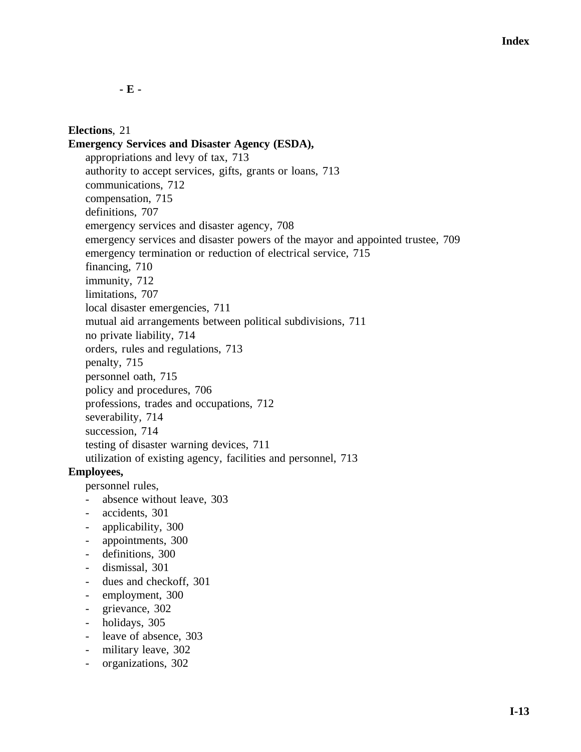**- E -**

# **Elections**, 21

**Emergency Services and Disaster Agency (ESDA),** appropriations and levy of tax, 713 authority to accept services, gifts, grants or loans, 713 communications, 712 compensation, 715 definitions, 707 emergency services and disaster agency, 708 emergency services and disaster powers of the mayor and appointed trustee, 709 emergency termination or reduction of electrical service, 715 financing, 710 immunity, 712 limitations, 707 local disaster emergencies, 711 mutual aid arrangements between political subdivisions, 711 no private liability, 714 orders, rules and regulations, 713 penalty, 715 personnel oath, 715 policy and procedures, 706 professions, trades and occupations, 712 severability, 714 succession, 714 testing of disaster warning devices, 711 utilization of existing agency, facilities and personnel, 713

# **Employees,**

personnel rules,

- absence without leave, 303
- accidents, 301
- applicability, 300
- appointments, 300
- definitions, 300
- dismissal, 301
- dues and checkoff, 301
- employment, 300
- grievance, 302
- holidays, 305
- leave of absence, 303
- military leave, 302
- organizations, 302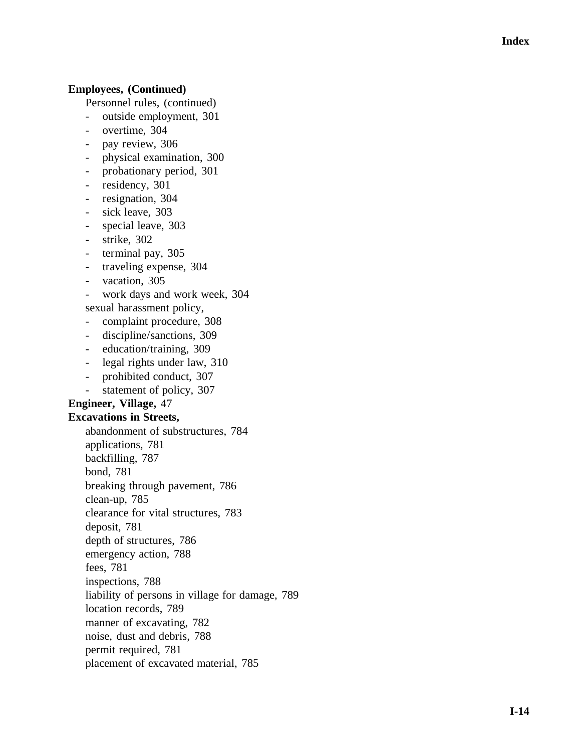#### **Employees, (Continued)**

Personnel rules, (continued)

- outside employment, 301
- overtime, 304
- pay review, 306
- physical examination, 300
- probationary period, 301
- residency, 301
- resignation, 304
- sick leave, 303
- special leave, 303
- strike, 302
- terminal pay, 305
- traveling expense, 304
- vacation, 305
- work days and work week, 304
- sexual harassment policy,
- complaint procedure, 308
- discipline/sanctions, 309
- education/training, 309
- legal rights under law, 310
- prohibited conduct, 307
- statement of policy, 307

#### **Engineer, Village,** 47

#### **Excavations in Streets,**

abandonment of substructures, 784 applications, 781 backfilling, 787 bond, 781 breaking through pavement, 786 clean -up, 785 clearance for vital structures, 783 deposit, 781 depth of structures, 786 emergency action, 788 fees, 781 inspections, 788 liability of persons in village for damage, 789 location records, 789 manner of excavating, 782 noise, dust and debris, 788 permit required, 781 placement of excavated material, 785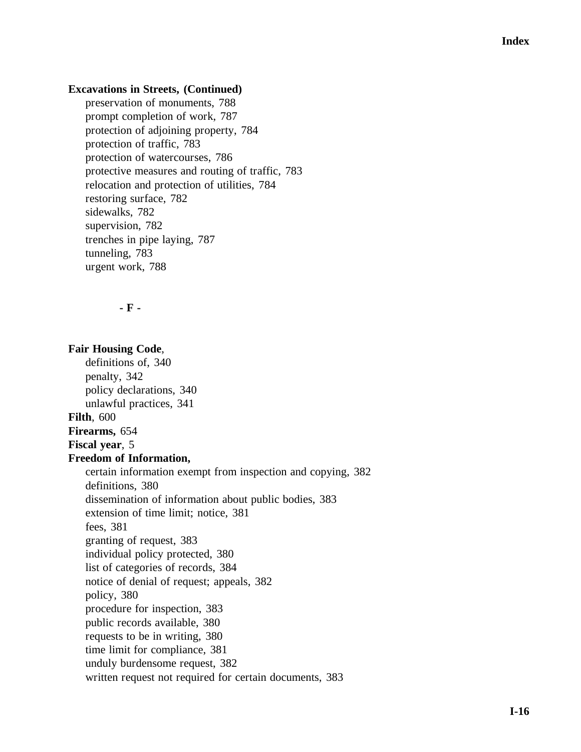#### **Excavations in Streets, (Continued)**

preservation of monuments, 788 prompt completion of work, 787 protection of adjoining property, 784 protection of traffic, 783 protection of watercourses, 786 protective measures and routing of traffic, 783 relocation and protection of utilities, 784 restoring surface, 782 sidewalks, 782 supervision, 782 trenches in pipe laying, 787 tunneling, 783 urgent work, 788

**- F -**

**Fair Housing Code**, definitions of, 340 penalty, 342 policy declarations, 340 unlawful practices, 341 **Filth**, 600 **Firearms,** 654 **Fiscal year**, 5 **Freedom of Information,** certain information exempt from inspection and copying, 382 definitions, 380 dissemination of information about public bodies, 383 extension of time limit; notice, 381 fees, 381 granting of request, 383 individual policy protected, 380 list of categories of records, 384 notice of denial of request; appeals, 382 policy, 380 procedure for inspection, 383 public records available, 380 requests to be in writing, 380 time limit for compliance, 381 unduly burdensome request, 382 written request not required for certain documents, 383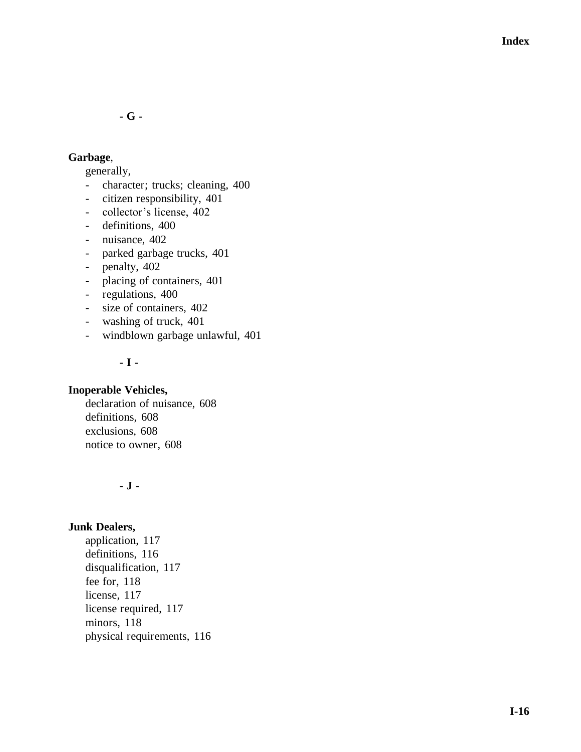**- G -**

# **Garbage**,

generally,

- character; trucks; cleaning, 400
- citizen responsibility, 401
- collector's license, 402
- definitions, 400
- nuisance, 402
- parked garbage trucks, 401
- penalty, 402
- placing of containers, 401
- regulations, 400
- size of containers, 402
- washing of truck, 401
- windblown garbage unlawful, 401

## **- I -**

#### **Inoperable Vehicles,**

declaration of nuisance, 608 definitions, 608 exclusions, 608 notice to owner, 608

## **- J -**

# **Junk Dealers,**

application, 117 definitions, 116 disqualification, 117 fee for, 118 license, 117 license required, 117 minors, 118 physical requirements, 116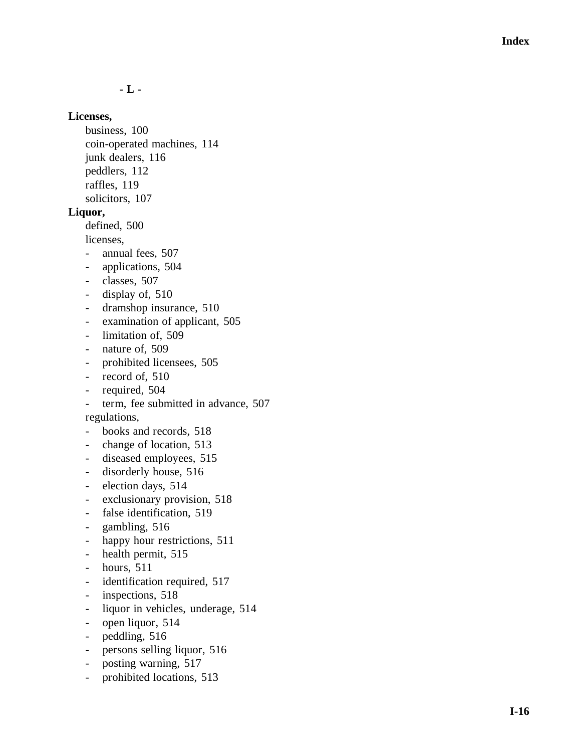**- L -**

#### **Licenses,**

business, 100 coin -operated machines, 114 junk dealers, 116 peddlers, 112 raffles, 119 solicitors, 107

#### **Liquor,**

defined, 500

licenses,

- annual fees, 507
- applications, 504
- classes, 507
- display of, 510
- dramshop insurance, 510
- examination of applicant, 505
- limitation of, 509
- nature of, 509
- prohibited licensees, 505
- record of, 510
- required, 504
- term, fee submitted in advance, 507

regulations,

- books and records, 518
- change of location, 513
- diseased employees, 515
- disorderly house, 516
- election days, 514
- exclusionary provision, 518
- false identification, 519
- gambling, 516
- happy hour restrictions, 511
- health permit, 515
- hours, 511
- identification required, 517
- inspections, 518
- liquor in vehicles, underage, 514
- open liquor, 514
- peddling, 516
- persons selling liquor, 516
- posting warning, 517
- prohibited locations, 513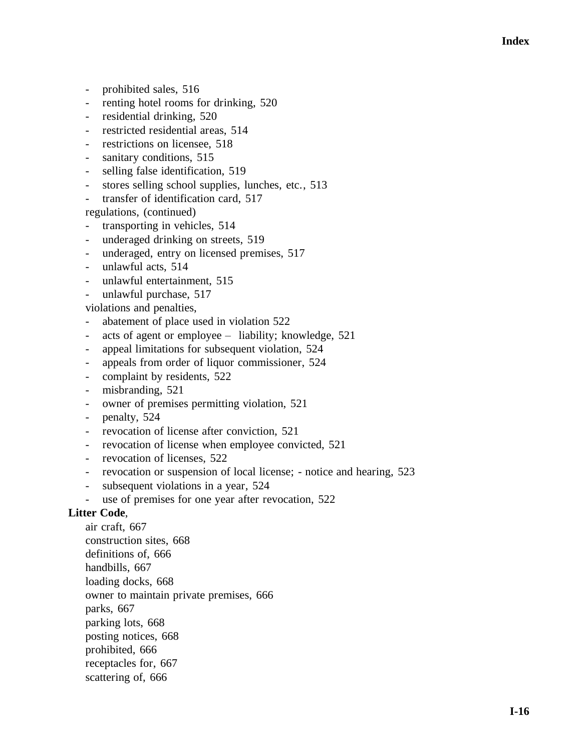- prohibited sales, 516
- renting hotel rooms for drinking, 520
- residential drinking, 520
- restricted residential areas, 514
- restrictions on licensee, 518
- sanitary conditions, 515
- selling false identification, 519
- stores selling school supplies, lunches, etc., 513
- transfer of identification card, 517

regulations, (continued)

- transporting in vehicles, 514
- underaged drinking on streets, 519
- underaged, entry on licensed premises, 517
- unlawful acts, 514
- unlawful entertainment, 515
- unlawful purchase, 517

violations and penalties,

- abatement of place used in violation 522
- acts of agent or employee liability; knowledge, 521
- appeal limitations for subsequent violation, 524
- appeals from order of liquor commissioner, 524
- complaint by residents, 522
- misbranding, 521
- owner of premises permitting violation, 521
- penalty, 524
- revocation of license after conviction, 521
- revocation of license when employee convicted, 521
- revocation of licenses, 522
- revocation or suspension of local license; notice and hearing, 523
- subsequent violations in a year, 524
- use of premises for one year after revocation, 522

#### **Litter Code**,

air craft, 667 construction sites, 668 definitions of, 666 handbills, 667 loading docks, 668 owner to maintain private premises, 666 parks, 667 parking lots, 668 posting notices, 668 prohibited, 666 receptacles for, 667 scattering of, 666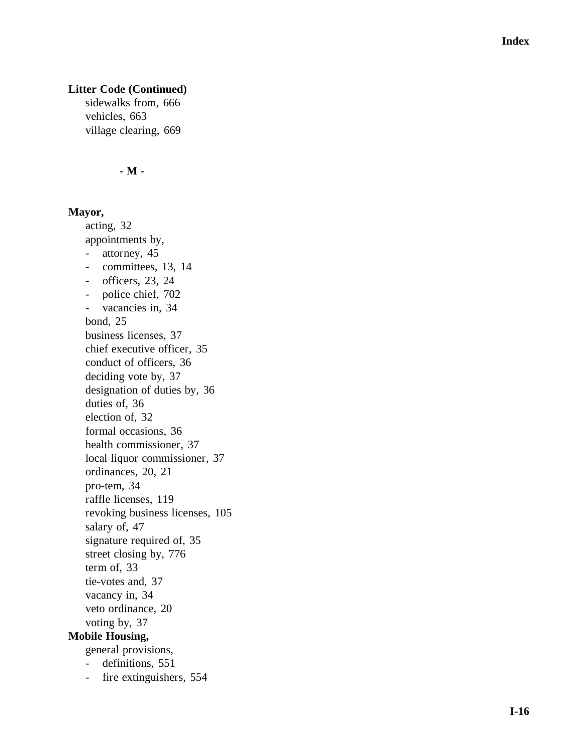# **Litter Code (Continued)**

sidewalks from, 666 vehicles, 663 village clearing, 669

#### **- M -**

#### **Mayor,**

acting, 32 appointments by, - attorney, 45 - committees, 13, 14 - officers, 23, 24 - police chief, 702 - vacancies in, 34 bond, 25 business licenses, 37 chief executive officer, 35 conduct of officers, 36 deciding vote by, 37 designation of duties by, 36 duties of, 36 election of, 32 formal occasions, 36 health commissioner, 37 local liquor commissioner, 37 ordinances, 20, 21 pro -tem, 34 raffle licenses, 119 revoking business licenses, 105 salary of, 47 signature required of, 35 street closing by, 776 term of, 33 tie -votes and, 37 vacancy in, 34 veto ordinance, 20 voting by, 37 **Mobile Housing,** general provisions,

- definitions, 551
- fire extinguishers, 554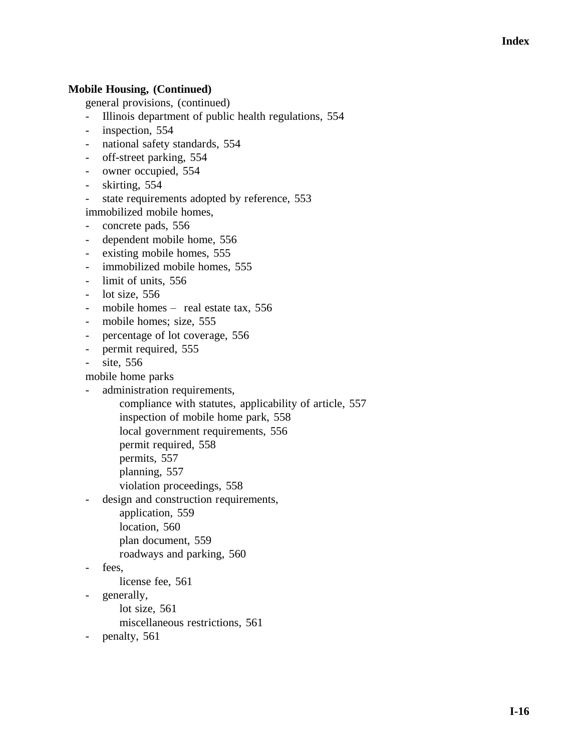# **Mobile Housing, (Continued)**

general provisions, (continued)

- Illinois department of public health regulations, 554
- inspection, 554
- national safety standards, 554
- off-street parking, 554
- owner occupied, 554
- skirting, 554
- state requirements adopted by reference, 553 immobilized mobile homes,
- concrete pads, 556
- dependent mobile home, 556
- existing mobile homes, 555
- immobilized mobile homes, 555
- limit of units, 556
- lot size, 556
- mobile homes real estate tax, 556
- mobile homes; size, 555
- percentage of lot coverage, 556
- permit required, 555
- site, 556

mobile home parks

- administration requirements,
	- compliance with statutes, applicability of article, 557
		- inspection of mobile home park, 558
		- local government requirements, 556
		- permit required, 558
		- permits, 557
		- planning, 557
	- violation proceedings, 558
- design and construction requirements,
	- application, 559
	- location, 560
	- plan document, 559
	- roadways and parking, 560
- fees,
	- license fee, 561
- generally,
	- lot size, 561
		- miscellaneous restrictions, 561
- penalty, 561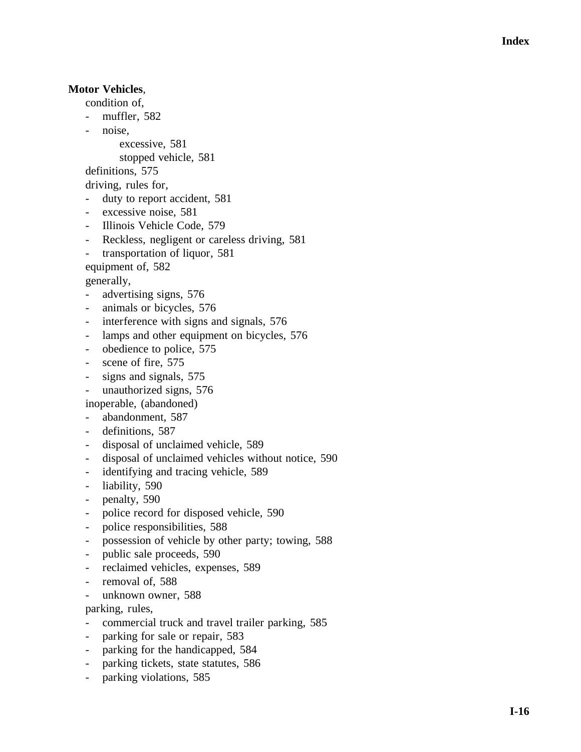# **Motor Vehicles** ,

condition of,

- muffler, 582
- noise.
	- excessive, 581

stopped vehicle, 581

definitions, 575

driving, rules for,

- duty to report accident, 581
- excessive noise, 581
- Illinois Vehicle Code, 579
- Reckless, negligent or careless driving, 581
- transportation of liquor, 581

equipment of, 582

generally,

- advertising signs, 576
- animals or bicycles, 576
- interference with signs and signals, 576
- lamps and other equipment on bicycles, 576
- obedience to police, 575
- scene of fire, 575
- signs and signals, 575
- unauthorized signs, 576
- inoperable, (abandoned)
- abandonment, 587
- definitions, 587
- disposal of unclaimed vehicle, 589
- disposal of unclaimed vehicles without notice, 590
- identifying and tracing vehicle, 589
- liability, 590
- penalty, 590
- police record for disposed vehicle, 590
- police responsibilities, 588
- possession of vehicle by other party; towing, 588
- public sale proceeds, 590
- reclaimed vehicles, expenses, 589
- removal of, 588
- unknown owner, 588

parking, rules,

- commercial truck and travel trailer parking, 585
- parking for sale or repair, 583
- parking for the handicapped, 584
- parking tickets, state statutes, 586
- parking violations, 585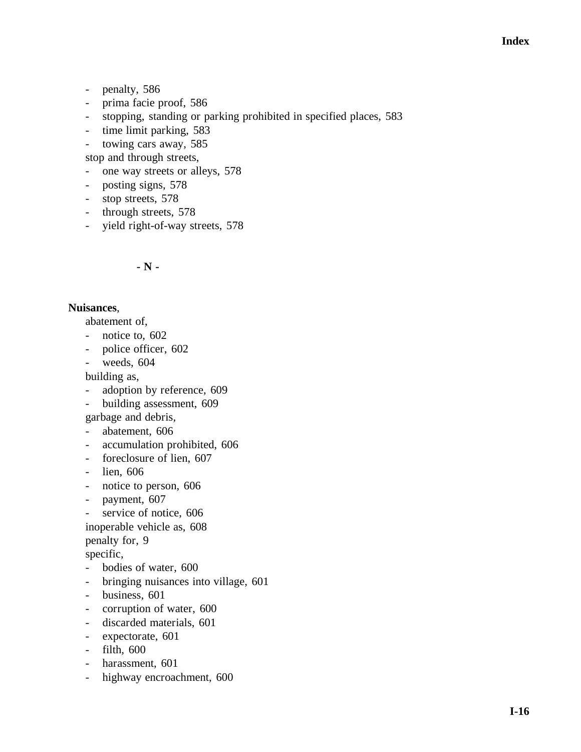- penalty, 586
- prima facie proof, 586
- stopping, standing or parking prohibited in specified places, 583
- time limit parking, 583
- towing cars away, 585

stop and through streets,

- one way streets or alleys, 578
- posting signs, 578
- stop streets, 578
- through streets, 578
- yield right-of-way streets, 578

## **- N -**

## **Nuisances**,

abatement of,

- notice to, 602
- police officer, 602
- weeds, 604

building as,

- adoption by reference, 609
- building assessment, 609
- garbage and debris,
- abatement, 606
- accumulation prohibited, 606
- foreclosure of lien, 607
- lien, 606
- notice to person, 606
- payment, 607
- service of notice, 606
- inoperable vehicle as, 608

penalty for, 9

specific,

- bodies of water, 600
- bringing nuisances into village, 601
- business, 601
- corruption of water, 600
- discarded materials, 601
- expectorate, 601
- filth, 600
- harassment, 601
- highway encroachment, 600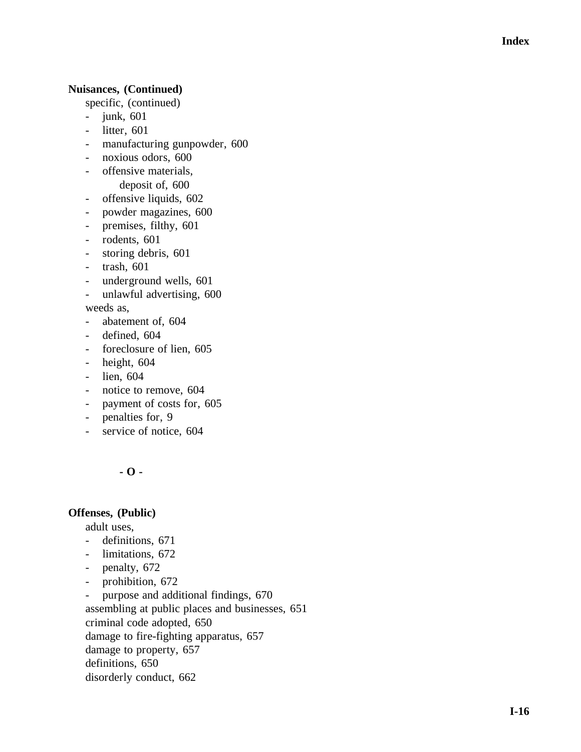## **Nuisances, (Continued)**

specific, (continued)

- junk, 601
- litter, 601
- manufacturing gunpowder, 600
- noxious odors, 600
- offensive materials, deposit of, 600
- offensive liquids, 602
- powder magazines, 600
- premises, filthy, 601
- rodents, 601
- storing debris, 601
- trash, 601
- underground wells, 601
- unlawful advertising, 600

weeds as,

- abatement of, 604
- defined, 604
- foreclosure of lien, 605
- height, 604
- lien, 604
- notice to remove, 604
- payment of costs for, 605
- penalties for, 9
- service of notice, 604

**- O -**

## **Offenses, (Public)**

adult uses,

- definitions, 671
- limitations, 672
- penalty, 672
- prohibition, 672

- purpose and additional findings, 670 assembling at public places and businesses, 651 criminal code adopted, 650 damage to fire -fighting apparatus, 657 damage to property, 657 definitions, 650 disorderly conduct, 662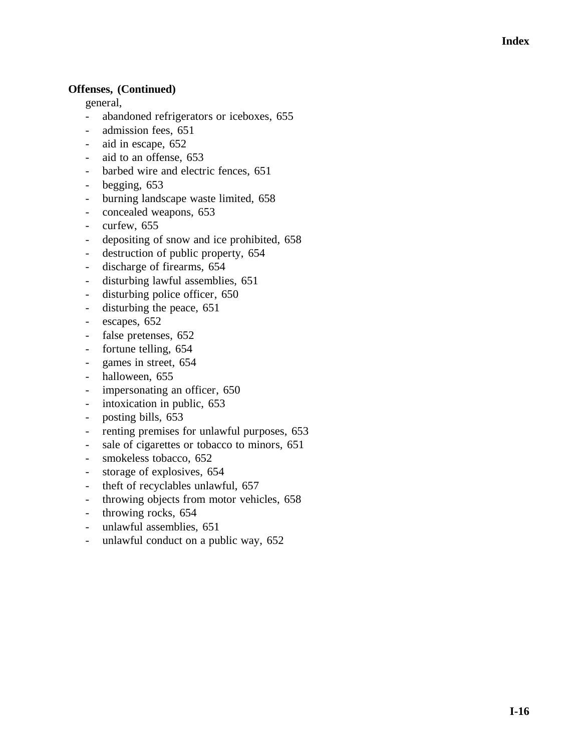## **Offenses, (Continued)**

general,

- abandoned refrigerators or iceboxes, 655
- admission fees, 651
- aid in escape, 652
- aid to an offense, 653
- barbed wire and electric fences, 651
- begging, 653
- burning landscape waste limited, 658
- concealed weapons, 653
- curfew, 655
- depositing of snow and ice prohibited, 658
- destruction of public property, 654
- discharge of firearms, 654
- disturbing lawful assemblies, 651
- disturbing police officer, 650
- disturbing the peace, 651
- escapes, 652
- false pretenses, 652
- fortune telling, 654
- games in street, 654
- halloween, 655
- impersonating an officer, 650
- intoxication in public, 653
- posting bills, 653
- renting premises for unlawful purposes, 653
- sale of cigarettes or tobacco to minors, 651
- smokeless tobacco, 652
- storage of explosives, 654
- theft of recyclables unlawful, 657
- throwing objects from motor vehicles, 658
- throwing rocks, 654
- unlawful assemblies, 651
- unlawful conduct on a public way, 652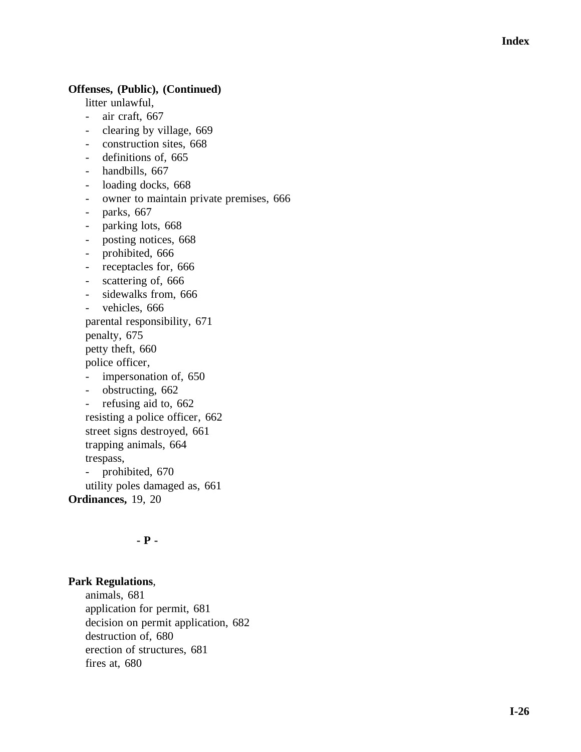### **Offenses, (Public), (Continued)**

litter unlawful,

- air craft, 667
- clearing by village, 669
- construction sites, 668
- definitions of, 665
- handbills, 667
- loading docks, 668
- owner to maintain private premises, 666
- parks, 667
- parking lots, 668
- posting notices, 668
- prohibited, 666
- receptacles for, 666
- scattering of, 666
- sidewalks from, 666
- vehicles, 666
- parental responsibility, 671

penalty, 675

petty theft, 660

police officer,

- impersonation of, 650
- obstructing, 662
- refusing aid to, 662

resisting a police officer, 662

street signs destroyed, 661

trapping animals, 664

trespass,

- prohibited, 670

utility poles damaged as, 661

**Ordinances,** 19, 20

#### **- P -**

#### **Park Regulations** ,

animals, 681 application for permit, 681 decision on permit application, 682 destruction of, 680 erection of structures, 681 fires at, 680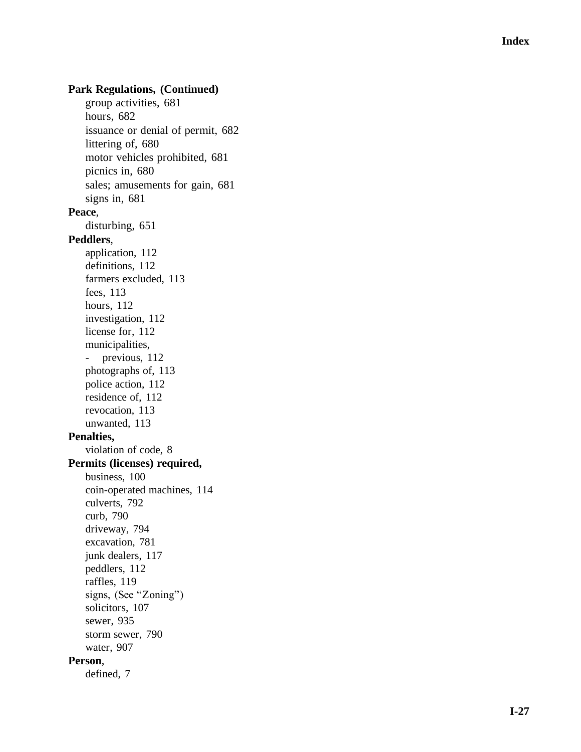## **Park Regulations, (Continued)**

group activities, 681 hours, 682 issuance or denial of permit, 682 littering of, 680 motor vehicles prohibited, 681 picnics in, 680 sales; amusements for gain, 681 signs in, 681 **Peace** , disturbing, 651 **Peddlers** , application, 112 definitions, 112 farmers excluded, 113 fees, 113 hours, 112 investigation, 112 license for, 112 municipalities, - previous, 112 photographs of, 113 police action, 112 residence of, 112 revocation, 113 unwanted, 113 **Penalties,** violation of code, 8 **Permits (licenses) required,** business, 100 coin -operated machines, 114 culverts, 792 curb, 790 driveway, 794 excavation, 781 junk dealers, 117 peddlers, 112 raffles, 119 signs, (See "Zoning") solicitors, 107 sewer, 935 storm sewer, 790 water, 907 **Person**, defined, 7

**I-27**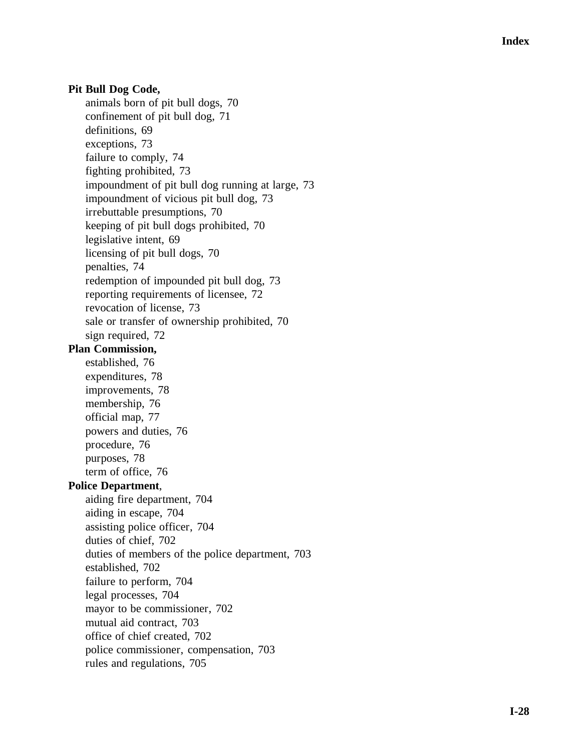## **Pit Bull Dog Code,**

animals born of pit bull dogs, 70 confinement of pit bull dog, 71 definitions, 69 exceptions, 7 3 failure to comply, 74 fighting prohibited, 73 impoundment of pit bull dog running at large, 73 impoundment of vicious pit bull dog, 73 irrebuttable presumptions, 70 keeping of pit bull dogs prohibited, 70 legislative intent, 69 licensing of pit bull dogs, 70 penalties, 74 redemption of impounded pit bull dog, 73 reporting requirements of licensee, 72 revocation of license, 73 sale or transfer of ownership prohibited, 70 sign required, 72 **Plan Commission,** established, 76 expenditures, 78 improvements, 78 membership, 76 official map, 77 powers and duties, 76 procedure, 76 purposes, 78 term of office, 76 **Police Department** , aiding fire department, 704 aiding in escape, 704 assisting police officer, 704 duties of chief, 702 duties of members of the police department, 703 established, 702 failure to perform, 704 legal processes, 704 mayor to be commissioner, 702 mutual aid contract, 703 office of chief created, 702 police commissioner, compensation, 703 rules and regulations, 705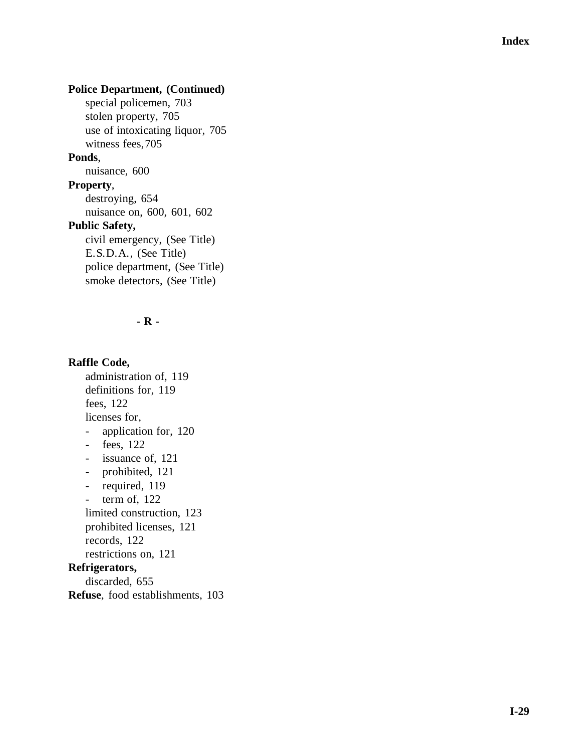# **Police Department, (Continued)**

special policemen, 703 stolen property, 705 use of intoxicating liquor, 705 witness fees,705

#### **Ponds**,

nuisance, 600

**Property** ,

destroying, 654

nuisance on, 600, 601, 602

#### **Public Safety,**

civil emergency, (See Title) E.S.D.A., (See Title) police department, (See Title) smoke detectors, (See Title)

#### **- R -**

# **Raffle Code,**

administration of, 119 definitions for, 119 fees, 122 licenses for, - application for, 12 0 - fees, 122 - issuance of, 121 - prohibited, 121 - required, 119 - term of, 122 limited construction, 123 prohibited licenses, 121 records, 122 restrictions on, 121 **Refrigerators,** discarded, 655 **Refuse**, food establishments, 103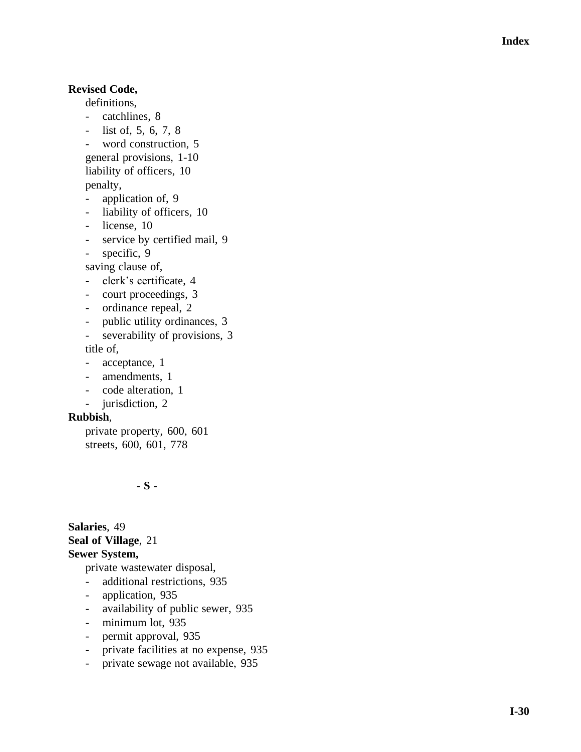## **Revised Code,**

- definitions,<br>- catchlines, 8
- list of, 5, 6, 7, 8
- word construction, 5
- general provisions, 1 -10

liability of officers, 10

penalty,

- application of, 9
- liability of officers, 10
- license, 10
- service by certified mail, 9
- specific, 9

saving clause of,

- clerk's certificate, 4
- court proceedings, 3
- ordinance repeal, 2
- public utility ordinances, 3
- severability of provisions, 3

title of,

- acceptance, 1
- amendments, 1
- code alteration, 1
- jurisdiction, 2

#### **Rubbish** ,

private property, 600, 601 streets, 600, 601, 778

**- S -**

**Salaries**, 49 **Seal of Village**, 21 **Sewer System,**

private wastewater disposal,

- additional restrictions, 935
- application, 935
- availability of public sewer, 935
- minimum lot, 935
- permit approval, 935
- private facilities at no expense, 935
- private sewage not available, 935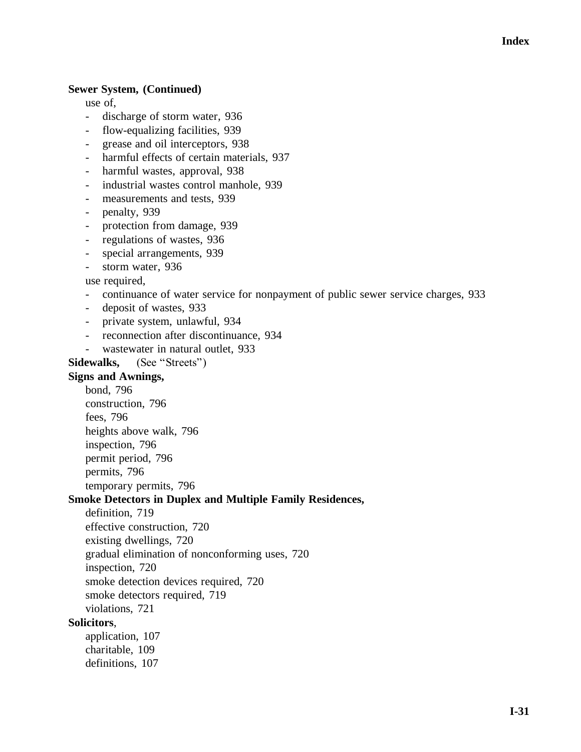#### **Sewer System, (Continued)**

use of,

- discharge of storm water, 936
- flow-equalizing facilities, 939
- grease and oil interceptors, 938
- harmful effects of certain materials, 937
- harmful wastes, approval, 938
- industrial wastes control manhole, 939
- measurements and tests, 939
- penalty, 939
- protection from damage, 939
- regulations of wastes, 936
- special arrangements, 939
- storm water, 936

use required,

- continuance of water service for nonpayment of public sewer service charges, 933
- deposit of wastes, 933
- private system, unlawful, 934
- reconnection after discontinuance, 934
- wastewater in natural outlet, 933

#### **Sidewalks,** (See "Streets")

## **Signs and Awnings,**

bond, 796 construction, 796 fees, 796 heights above walk, 796 inspection, 796 permit period, 796 permits, 796 temporary permits, 796

#### **Smoke Detectors in Duplex and Multiple Family Residences,**

definition, 719

effective construction, 720

existing dwellings, 720

gradual elimination of nonconforming uses, 720

inspection, 720

smoke detection devices required, 720

smoke detectors required, 719

violations, 721

#### **Solicitors**,

application, 107 charitable, 109 definitions, 107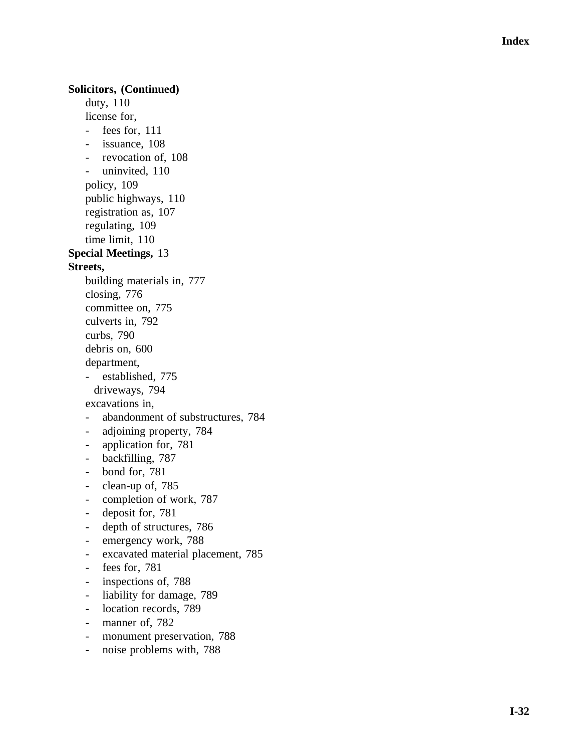## **Solicitors, (Continued)**

duty, 110 license for, - fees for, 111 - issuance, 108 - revocation of, 108 - uninvited, 110 policy, 109 public highways, 110 registration as, 107 regulating, 109 time limit, 110 **Special Meetings,** 13 **Streets,**  building materials in, 777 closing, 776 committee on, 775 culverts in, 792 curbs, 790 debris on, 600 department, - established, 775 driveways, 794 excavations in, - abandonment of substructures, 784 - adjoining property, 784 - application for, 781 - backfilling, 787 - bond for, 781 - clean-up of, 785 - completion of work, 787 - deposit for, 781 - depth of structures, 786 - emergency work, 788 - excavated material placement, 785 - fees for, 781 - inspections of, 788 - liability for damage, 789 - location records, 789 - manner of, 782

- monument preservation, 788
- noise problems with, 788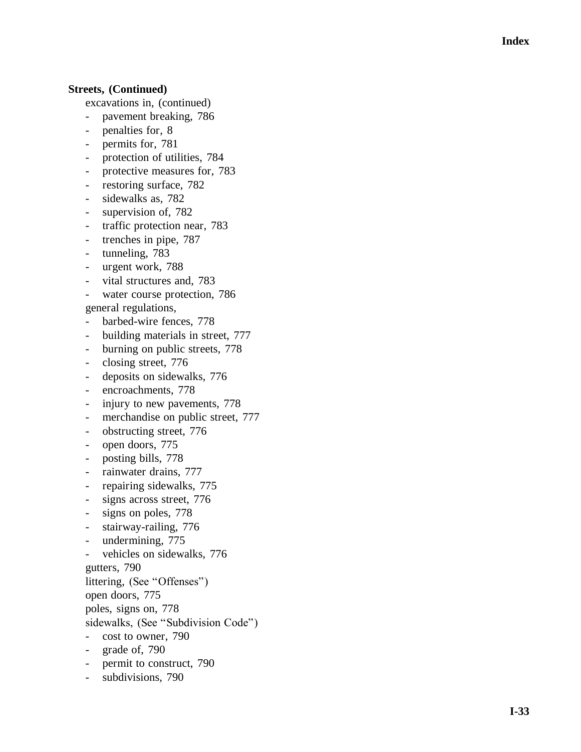#### **Streets, (Continued)**

- excavations in, (continued)
- pavement breaking, 786
- penalties for, 8
- permits for, 781
- protection of utilities, 784
- protective measures for, 783
- restoring surface, 782
- sidewalks as, 782
- supervision of, 782
- traffic protection near, 783
- trenches in pipe, 787
- tunneling, 783
- urgent work, 788
- vital structures and, 783
- water course protection, 786

general regulations,

- barbed-wire fences, 778
- building materials in street, 777
- burning on public streets, 778
- closing street, 776
- deposits on sidewalks, 776
- encroachments, 778
- injury to new pavements, 778
- merchandise on public street, 777
- obstructing street, 776
- open doors, 775
- posting bills, 778
- rainwater drains, 777
- repairing sidewalks, 775
- signs across street, 776
- signs on poles, 778
- stairway-railing, 776
- undermining, 775
- vehicles on sidewalks, 776

gutters, 790

littering, (See "Offenses")

open doors, 775

poles, signs on, 778

sidewalks, (See "Subdivision Code")

- cost to owner, 790
- grade of, 790
- permit to construct, 790
- subdivisions, 790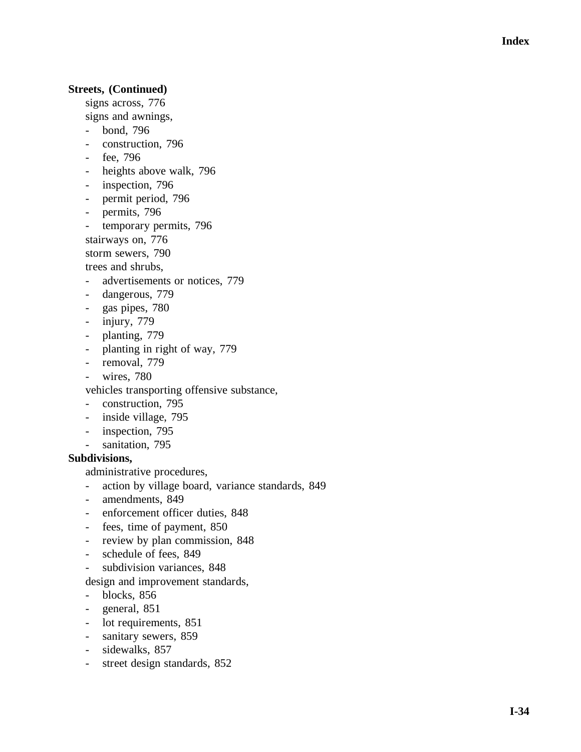## **Streets, (Continued)**

signs across, 776

- signs and awnings,
- bond, 796
- construction, 796
- fee, 796
- heights above walk, 796
- inspection, 796
- permit period, 796
- permits, 796
- temporary permits, 796
- stairways on, 776

storm sewers, 790

trees and shrubs,

- advertisements or notices, 779
- dangerous, 779
- gas pipes, 780
- injury, 779
- planting, 779
- planting in right of way, 779
- removal, 779
- wires, 780

vehicles transporting offensive substance,

- construction, 795
- inside village, 795
- inspection, 795
- sanitation, 795

#### **Subdivisions,**

administrative procedures,

- action by village board, variance standards, 849
- amendments, 849
- enforcement officer duties, 848
- fees, time of payment, 850
- review by plan commission, 848
- schedule of fees, 849
- subdivision variances, 848

design and improvement standards,

- blocks, 856
- general, 851
- lot requirements, 851
- sanitary sewers, 859
- sidewalks, 857
- street design standards, 852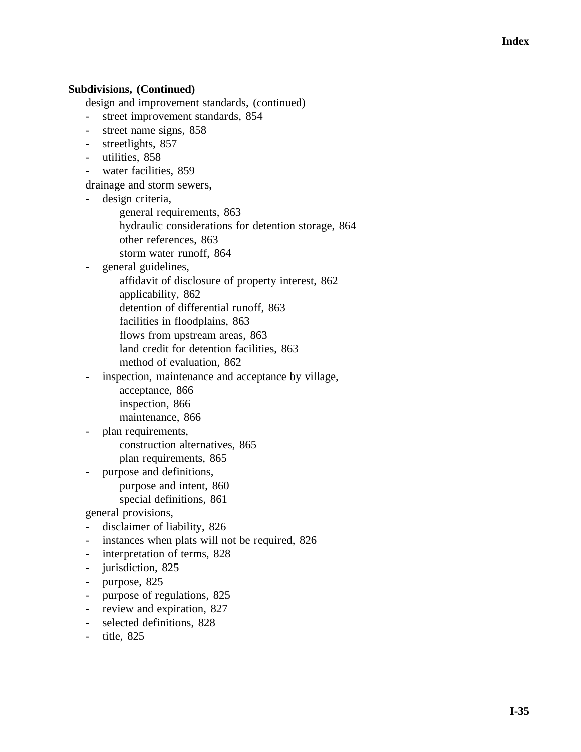## **Subdivisions, (Continued)**

design and improvement standards, (continued)

- street improvement standards, 854
- street name signs, 858
- streetlights, 857
- utilities, 858
- water facilities, 859
- drainage and storm sewers,
- design criteria,
	- general requirements, 863
	- hydraulic considerations for detention storage, 864
	- other references, 863
	- storm water runoff, 864
- general guidelines,
	- affidavit of disclosure of property interest, 862
	- applicability, 862
	- detention of differential runoff, 863
	- facilities in floodplains, 863
	- flows from upstream areas, 863
	- land credit for detention facilities, 863
	- method of evaluation, 862
- inspection, maintenance and acceptance by village,
	- acceptance, 866
	- inspection, 866
	- maintenance, 866
- plan requirements,
	- construction alternatives, 865
	- plan requirements, 865
- purpose and definitions,
	- purpose and intent, 860 special definitions, 861
- general provisions,
- disclaimer of liability, 826
- instances when plats will not be required, 826
- interpretation of terms, 828
- jurisdiction, 825
- purpose, 825
- purpose of regulations, 825
- review and expiration, 827
- selected definitions, 828
- title, 825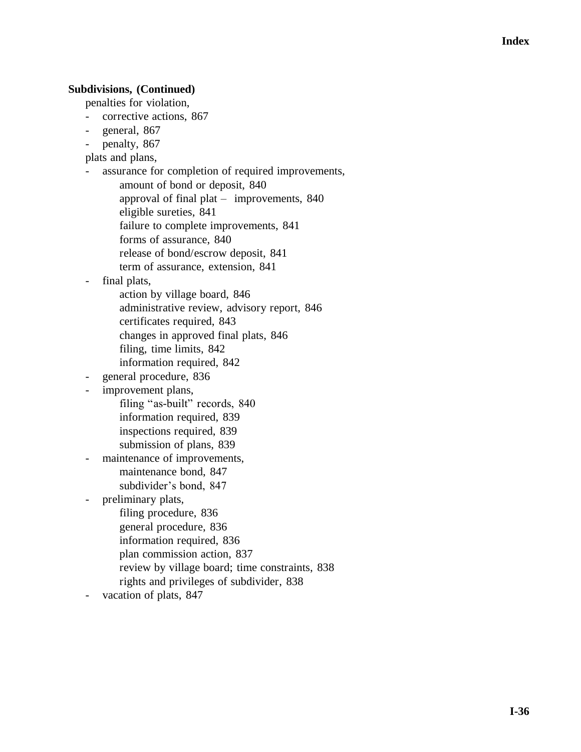#### **Subdivisions, (Continued)**

penalties for violation,

- corrective actions, 867
- general, 867
- penalty, 867

plats and plans,

- assurance for completion of required improvements,
	- amount of bond or deposit, 840 approval of final plat – improvements, 840 eligible sureties, 841 failure to complete improvements, 841 forms of assurance, 840 release of bond/escrow deposit, 841 term of assurance, extension, 841
- final plats,
	- action by village board, 846 administrative review, advisory report, 846 certificates required, 843 changes in approved final plats, 846 filing, time limits, 842 information required, 842
- general procedure, 836
- improvement plans,
	- filing "as-built" records, 840 information required, 839 inspections required, 839 submission of plans, 839
- maintenance of improvements, maintenance bond, 847 subdivider's bond, 847
- preliminary plats,
	- filing procedure, 836
	- general procedure, 836
	- information required, 836
	- plan commission action, 837
	- review by village board; time constraints, 838
	- rights and privileges of subdivider, 838
- vacation of plats, 847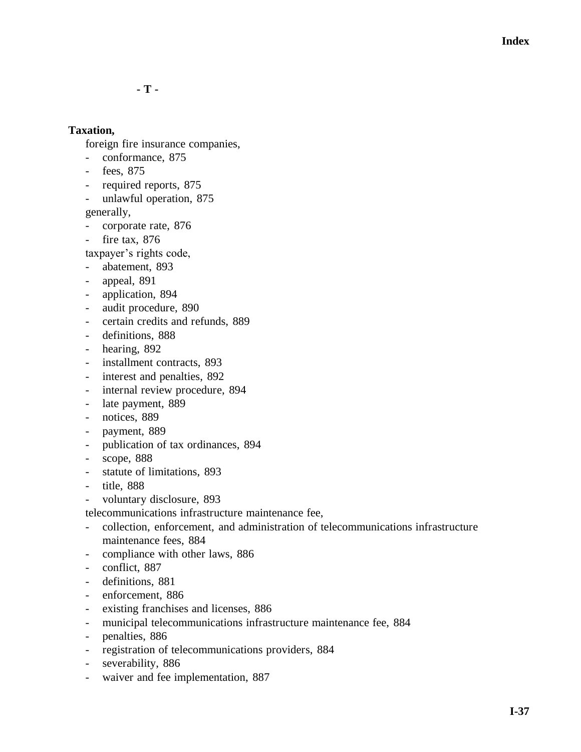**- T -**

## **Taxation,**

foreign fire insurance companies,

- conformance, 875
- fees, 875
- required reports, 875
- unlawful operation, 875

generally,

- corporate rate, 876
- fire tax, 876

taxpayer's rights code,

- abatement, 893
- appeal, 891
- application, 894
- audit procedure, 890
- certain credits and refunds, 889
- definitions, 888
- hearing, 892
- installment contracts, 893
- interest and penalties, 892
- internal review procedure, 894
- late payment, 889
- notices, 889
- payment, 889
- publication of tax ordinances, 894
- scope, 888
- statute of limitations, 893
- title, 888
- voluntary disclosure, 893

telecommunications infrastructure maintenance fee,

- collection, enforcement, and administration of telecommunications infrastructure maintenance fees, 884
- compliance with other laws, 886
- conflict, 887
- definitions, 881
- enforcement, 886
- existing franchises and licenses, 886
- municipal telecommunications infrastructure maintenance fee, 884
- penalties, 886
- registration of telecommunications providers, 884
- severability, 886
- waiver and fee implementation, 887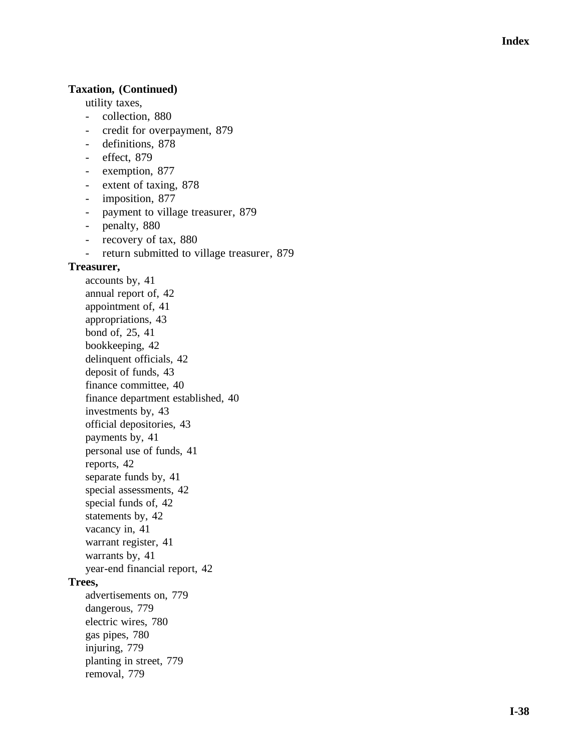## **Taxation, (Continued)**

utility taxes,

- collection, 880
- credit for overpayment, 879
- definitions, 878
- effect, 879
- exemption, 877
- extent of taxing, 878
- imposition, 877
- payment to village treasurer, 879
- penalty, 880
- recovery of tax, 880
- return submitted to village treasurer, 879

#### **Treasurer,**

accounts by, 41 annual report of, 42 appointment of, 41 appropriations, 43 bond of, 25, 41 bookkeeping, 42 delinquent officials, 42 deposit of funds, 43 finance committee, 40 finance department established, 40 investments by, 43 official depositories, 43 payments by, 41 personal use of funds, 41 reports, 42 separate funds by, 41 special assessments, 42 special funds of, 42 statements by, 42 vacancy in, 41 warrant register, 41 warrants by, 41 year -end financial report, 42 **Trees,** advertisements on, 779 dangerous, 779 electric wires, 780 gas pipes, 780 injuring, 779 planting in street, 779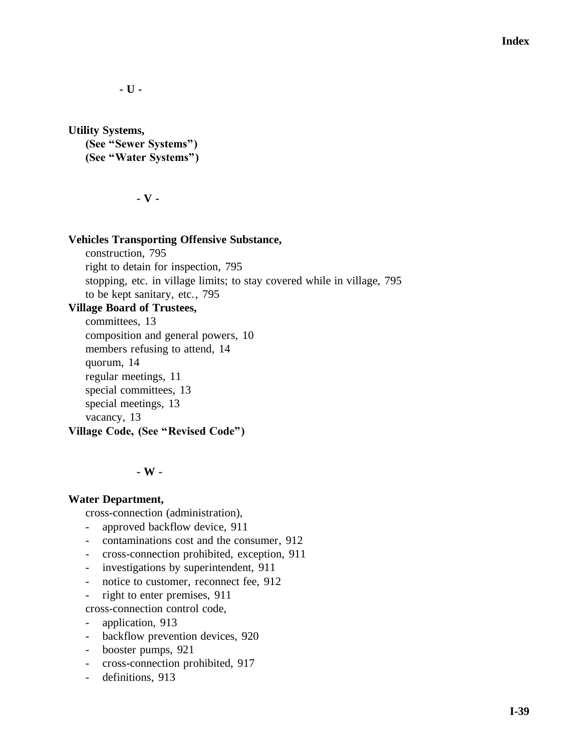**Index**

**- U -**

**Utility Systems, (See "Sewer Systems") (See "Water Systems")**

**- V -**

#### **Vehicles Transporting Offensive Substance,**

construction, 795 right to detain for inspection, 795 stopping, etc. in village limits; to stay covered while in village, 795 to be kept sanitary, etc., 795

## **Village Board of Trustees,**

committees, 13 composition and general powers, 10 members refusing to attend, 14 quorum, 14 regular meetings, 11 special committees, 13 special meetings, 13 vacancy, 13 **Village Code, (See "Revised Code")**

#### **- W -**

#### **Water Department,**

cross-connection (administration),

- approved backflow device, 911
- contaminations cost and the consumer, 912
- cross-connection prohibited, exception, 911
- investigations by superintendent, 911
- notice to customer, reconnect fee, 912
- right to enter premises, 911
- cross-connection control code,
- application, 913
- backflow prevention devices, 920
- booster pumps, 921
- cross-connection prohibited, 917
- definitions, 913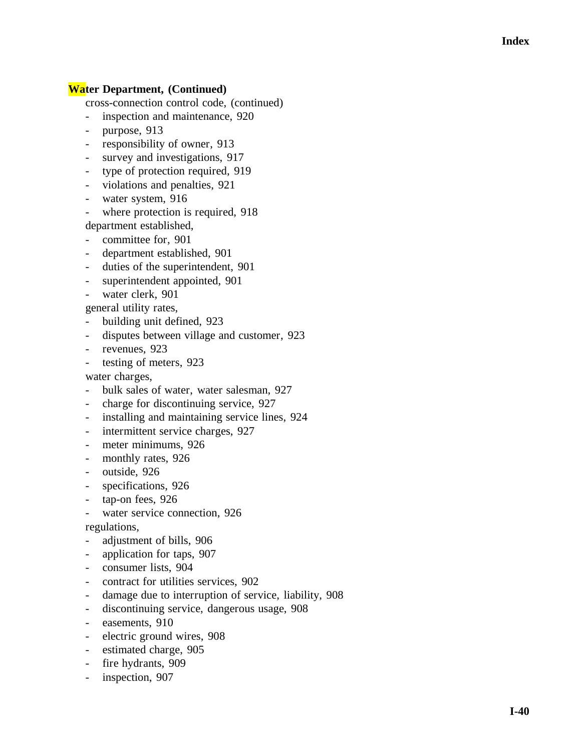# **Water Department, (Continued)**

cross -connection control code, (continued)

- inspection and maintenance, 920
- purpose, 913
- responsibility of owner, 913
- survey and investigations, 917
- type of protection required, 919
- violations and penalties, 921
- water system, 916
- where protection is required, 918

department established,

- committee for, 901
- department established, 901
- duties of the superintendent, 901
- superintendent appointed, 901
- water clerk, 901
- general utility rates,
- building unit defined, 923
- disputes between village and customer, 923
- revenues, 923
- testing of meters, 923

water charges,

- bulk sales of water, water salesman, 927
- charge for discontinuing service, 927
- installing and maintaining service lines, 924
- intermittent service charges, 927
- meter minimums, 926
- monthly rates, 926
- outside, 926
- specifications, 926
- tap-on fees, 926
- water service connection, 926
- regulations,
- adjustment of bills, 906
- application for taps, 907
- consumer lists, 904
- contract for utilities services, 902
- damage due to interruption of service, liability, 908
- discontinuing service, dangerous usage, 908
- easements, 910
- electric ground wires, 908
- estimated charge, 905
- fire hydrants, 909
- inspection, 907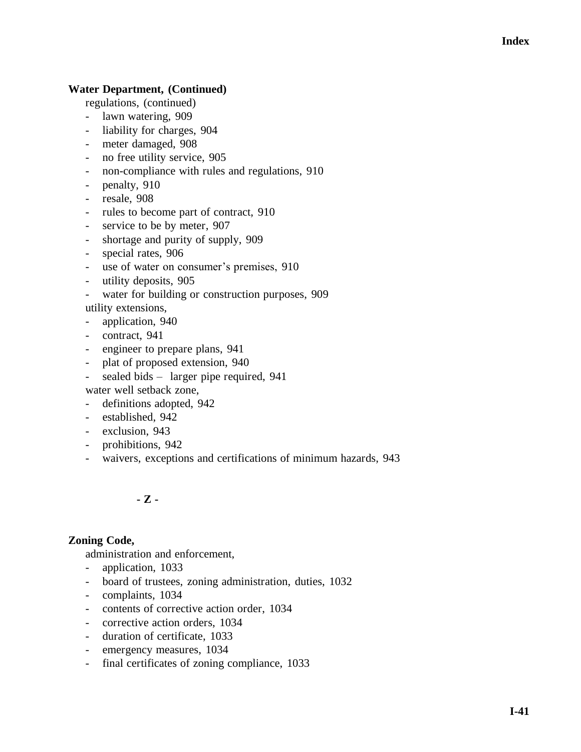# **Water Department, (Continued)**

regulations, (continued)

- lawn watering, 909
- liability for charges, 904
- meter damaged, 908
- no free utility service, 905
- non-compliance with rules and regulations, 910
- penalty, 910
- resale, 908
- rules to become part of contract, 910
- service to be by meter, 907
- shortage and purity of supply, 909
- special rates, 906
- use of water on consumer's premises, 910
- utility deposits, 905
- water for building or construction purposes, 909

utility extensions,

- application, 940
- contract, 941
- engineer to prepare plans, 941
- plat of proposed extension, 940
- sealed bids larger pipe required, 941

water well setback zone,

- definitions adopted, 942
- established, 942
- exclusion, 943
- prohibitions, 942
- waivers, exceptions and certifications of minimum hazards, 943

**- Z -**

# **Zoning Code,**

administration and enforcement,

- application, 1033
- board of trustees, zoning administration, duties, 1032
- complaints, 1034
- contents of corrective action order, 1034
- corrective action orders, 1034
- duration of certificate, 1033
- emergency measures, 1034
- final certificates of zoning compliance, 1033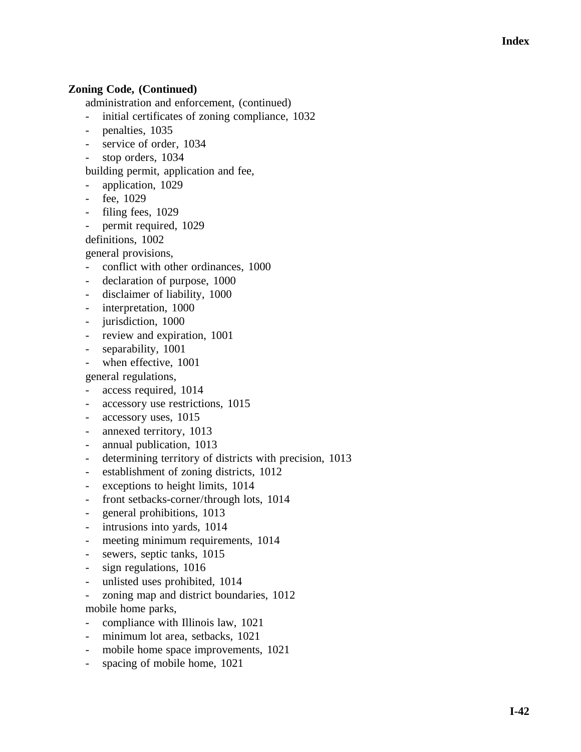# **Zoning Code, (Continued)**

administration and enforcement, (continued)

- initial certificates of zoning compliance, 1032
- penalties, 1035
- service of order, 1034
- stop orders, 1034

building permit, application and fee,

- application, 1029
- fee, 1029
- filing fees, 1029
- permit required, 1029

definitions, 1002

general provisions,

- conflict with other ordinances, 1000
- declaration of purpose, 1000
- disclaimer of liability, 1000
- interpretation, 1000
- jurisdiction, 1000
- review and expiration, 1001
- separability, 1001
- when effective, 1001

general regulations,

- access required, 1014
- accessory use restrictions, 1015
- accessory uses, 1015
- annexed territory, 1013
- annual publication, 1013
- determining territory of districts with precision, 1013
- establishment of zoning districts, 1012
- exceptions to height limits, 1014
- front setbacks-corner/through lots, 1014
- general prohibitions, 1013
- intrusions into yards, 1014
- meeting minimum requirements, 1014
- sewers, septic tanks, 1015
- sign regulations, 1016
- unlisted uses prohibited, 1014
- zoning map and district boundaries, 1012
- mobile home parks,
- compliance with Illinois law, 1021
- minimum lot area, setbacks, 1021
- mobile home space improvements, 1021
- spacing of mobile home, 1021